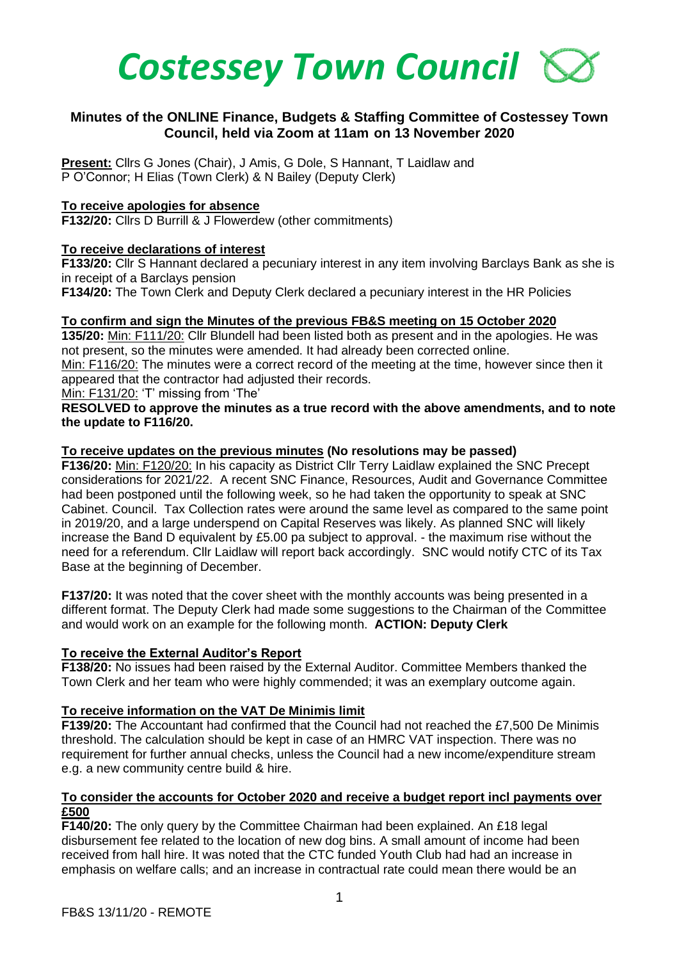

# **Minutes of the ONLINE Finance, Budgets & Staffing Committee of Costessey Town Council, held via Zoom at 11am on 13 November 2020**

**Present:** Cllrs G Jones (Chair), J Amis, G Dole, S Hannant, T Laidlaw and P O'Connor; H Elias (Town Clerk) & N Bailey (Deputy Clerk)

## **To receive apologies for absence**

**F132/20:** Cllrs D Burrill & J Flowerdew (other commitments)

#### **To receive declarations of interest**

**F133/20:** Cllr S Hannant declared a pecuniary interest in any item involving Barclays Bank as she is in receipt of a Barclays pension

**F134/20:** The Town Clerk and Deputy Clerk declared a pecuniary interest in the HR Policies

#### **To confirm and sign the Minutes of the previous FB&S meeting on 15 October 2020**

**135/20:** Min: F111/20: Cllr Blundell had been listed both as present and in the apologies. He was not present, so the minutes were amended. It had already been corrected online.

Min: F116/20: The minutes were a correct record of the meeting at the time, however since then it appeared that the contractor had adjusted their records.

Min: F131/20: 'T' missing from 'The'

#### **RESOLVED to approve the minutes as a true record with the above amendments, and to note the update to F116/20.**

#### **To receive updates on the previous minutes (No resolutions may be passed)**

**F136/20:** Min: F120/20: In his capacity as District Cllr Terry Laidlaw explained the SNC Precept considerations for 2021/22. A recent SNC Finance, Resources, Audit and Governance Committee had been postponed until the following week, so he had taken the opportunity to speak at SNC Cabinet. Council. Tax Collection rates were around the same level as compared to the same point in 2019/20, and a large underspend on Capital Reserves was likely. As planned SNC will likely increase the Band D equivalent by £5.00 pa subject to approval. - the maximum rise without the need for a referendum. Cllr Laidlaw will report back accordingly. SNC would notify CTC of its Tax Base at the beginning of December.

**F137/20:** It was noted that the cover sheet with the monthly accounts was being presented in a different format. The Deputy Clerk had made some suggestions to the Chairman of the Committee and would work on an example for the following month. **ACTION: Deputy Clerk**

# **To receive the External Auditor's Report**

**F138/20:** No issues had been raised by the External Auditor. Committee Members thanked the Town Clerk and her team who were highly commended; it was an exemplary outcome again.

#### **To receive information on the VAT De Minimis limit**

**F139/20:** The Accountant had confirmed that the Council had not reached the £7,500 De Minimis threshold. The calculation should be kept in case of an HMRC VAT inspection. There was no requirement for further annual checks, unless the Council had a new income/expenditure stream e.g. a new community centre build & hire.

#### **To consider the accounts for October 2020 and receive a budget report incl payments over £500**

**F140/20:** The only query by the Committee Chairman had been explained. An £18 legal disbursement fee related to the location of new dog bins. A small amount of income had been received from hall hire. It was noted that the CTC funded Youth Club had had an increase in emphasis on welfare calls; and an increase in contractual rate could mean there would be an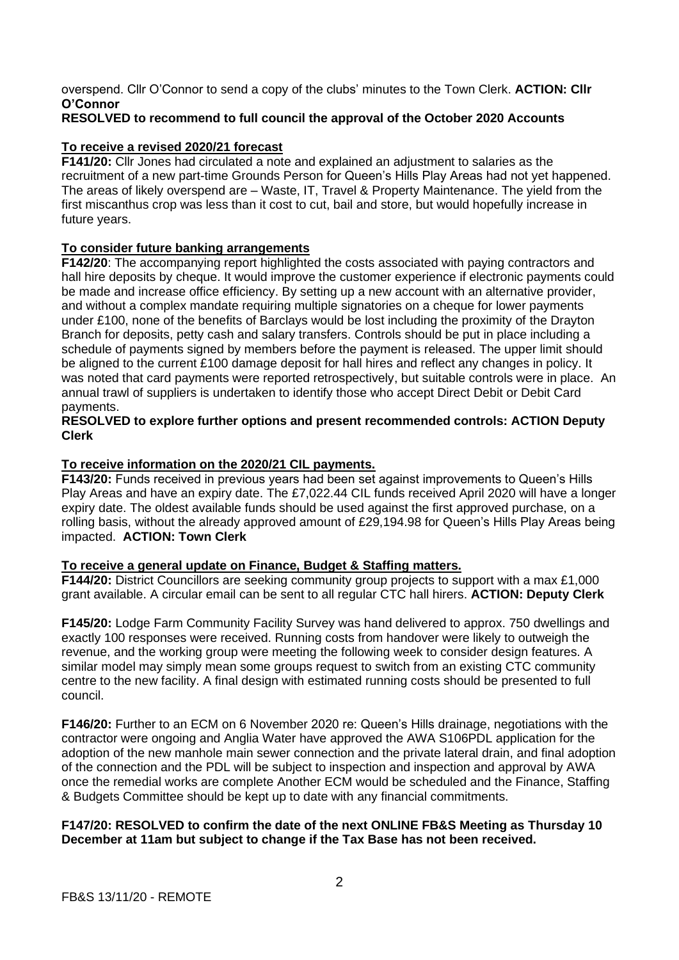overspend. Cllr O'Connor to send a copy of the clubs' minutes to the Town Clerk. **ACTION: Cllr O'Connor** 

# **RESOLVED to recommend to full council the approval of the October 2020 Accounts**

## **To receive a revised 2020/21 forecast**

**F141/20:** Cllr Jones had circulated a note and explained an adjustment to salaries as the recruitment of a new part-time Grounds Person for Queen's Hills Play Areas had not yet happened. The areas of likely overspend are – Waste, IT, Travel & Property Maintenance. The yield from the first miscanthus crop was less than it cost to cut, bail and store, but would hopefully increase in future years.

#### **To consider future banking arrangements**

**F142/20**: The accompanying report highlighted the costs associated with paying contractors and hall hire deposits by cheque. It would improve the customer experience if electronic payments could be made and increase office efficiency. By setting up a new account with an alternative provider, and without a complex mandate requiring multiple signatories on a cheque for lower payments under £100, none of the benefits of Barclays would be lost including the proximity of the Drayton Branch for deposits, petty cash and salary transfers. Controls should be put in place including a schedule of payments signed by members before the payment is released. The upper limit should be aligned to the current £100 damage deposit for hall hires and reflect any changes in policy. It was noted that card payments were reported retrospectively, but suitable controls were in place. An annual trawl of suppliers is undertaken to identify those who accept Direct Debit or Debit Card payments.

#### **RESOLVED to explore further options and present recommended controls: ACTION Deputy Clerk**

#### **To receive information on the 2020/21 CIL payments.**

**F143/20:** Funds received in previous years had been set against improvements to Queen's Hills Play Areas and have an expiry date. The £7,022.44 CIL funds received April 2020 will have a longer expiry date. The oldest available funds should be used against the first approved purchase, on a rolling basis, without the already approved amount of £29,194.98 for Queen's Hills Play Areas being impacted. **ACTION: Town Clerk**

#### **To receive a general update on Finance, Budget & Staffing matters.**

**F144/20:** District Councillors are seeking community group projects to support with a max £1,000 grant available. A circular email can be sent to all regular CTC hall hirers. **ACTION: Deputy Clerk**

**F145/20:** Lodge Farm Community Facility Survey was hand delivered to approx. 750 dwellings and exactly 100 responses were received. Running costs from handover were likely to outweigh the revenue, and the working group were meeting the following week to consider design features. A similar model may simply mean some groups request to switch from an existing CTC community centre to the new facility. A final design with estimated running costs should be presented to full council.

**F146/20:** Further to an ECM on 6 November 2020 re: Queen's Hills drainage, negotiations with the contractor were ongoing and Anglia Water have approved the AWA S106PDL application for the adoption of the new manhole main sewer connection and the private lateral drain, and final adoption of the connection and the PDL will be subject to inspection and inspection and approval by AWA once the remedial works are complete Another ECM would be scheduled and the Finance, Staffing & Budgets Committee should be kept up to date with any financial commitments.

#### **F147/20: RESOLVED to confirm the date of the next ONLINE FB&S Meeting as Thursday 10 December at 11am but subject to change if the Tax Base has not been received.**